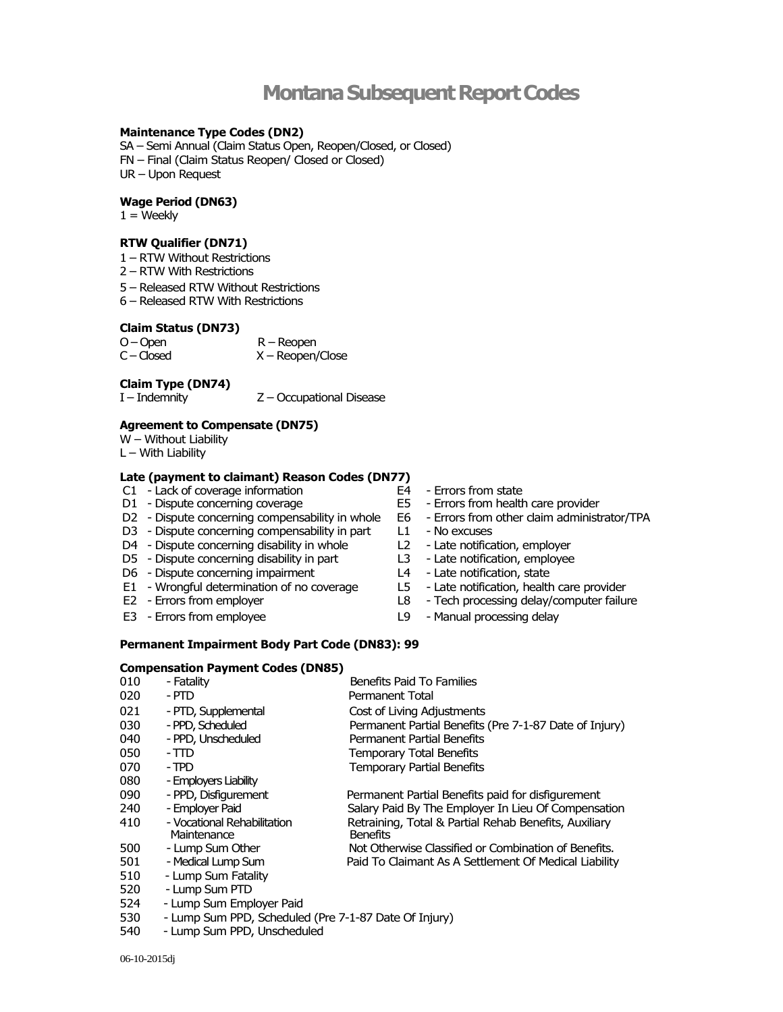# **Montana Subsequent Report Codes**

# **Maintenance Type Codes (DN2)**

SA – Semi Annual (Claim Status Open, Reopen/Closed, or Closed) FN – Final (Claim Status Reopen/ Closed or Closed) UR – Upon Request

#### **Wage Period (DN63)**

 $1 =$  Weekly

## **RTW Qualifier (DN71)**

- 1 RTW Without Restrictions
- 2 RTW With Restrictions
- 5 Released RTW Without Restrictions
- 6 Released RTW With Restrictions

#### **Claim Status (DN73)**

| $O-Open$     | $R -$ Reopen       |
|--------------|--------------------|
| $C - Closed$ | $X -$ Reopen/Close |

## **Claim Type (DN74)**

I – Indemnity Z – Occupational Disease

## **Agreement to Compensate (DN75)**

- W Without Liability
- L With Liability

# **Late (payment to claimant) Reason Codes (DN77)**

- C1 Lack of coverage information <br>
D1 Dispute concerning coverage 
Herrors from health<br>
E5 Errors from health
- 
- D2 Dispute concerning compensability in whole E6 Errors from other claim administrator/TPA
- D3 Dispute concerning compensability in part L1 No excuses<br>D4 Dispute concerning disability in whole L2 Late notification, employer
- D4 Dispute concerning disability in whole <br>
D5 Dispute concerning disability in part L3 Late notification, employee
- D5 Dispute concerning disability in part <br>D6 Dispute concerning impairment <br>L4 Late notification, state
- D6 Dispute concerning impairment
- E1 Wrongful determination of no coverage E1 - Wrongful determination of no coverage L5 - Late notification, health care provider<br>E2 - Errors from employer L8 - Tech processing delay/computer failure
- 
- 
- 
- E5 Errors from health care provider
	-
	-
- 
- 
- 
- 
- 
- E3 Errors from employee L9 Manual processing delay

#### **Permanent Impairment Body Part Code (DN83): 99**

## **Compensation Payment Codes (DN85)**

| 010 | - Fatality                                            | Benefits Paid To Families                              |
|-----|-------------------------------------------------------|--------------------------------------------------------|
| 020 | - PTD                                                 | Permanent Total                                        |
| 021 | - PTD, Supplemental                                   | Cost of Living Adjustments                             |
| 030 | - PPD, Scheduled                                      | Permanent Partial Benefits (Pre 7-1-87 Date of Injury) |
| 040 | - PPD, Unscheduled                                    | Permanent Partial Benefits                             |
| 050 | - TTD                                                 | <b>Temporary Total Benefits</b>                        |
| 070 | - TPD                                                 | <b>Temporary Partial Benefits</b>                      |
| 080 | - Employers Liability                                 |                                                        |
| 090 | - PPD, Disfigurement                                  | Permanent Partial Benefits paid for disfigurement      |
| 240 | - Emplover Paid                                       | Salary Paid By The Employer In Lieu Of Compensation    |
| 410 | - Vocational Rehabilitation                           | Retraining, Total & Partial Rehab Benefits, Auxiliary  |
|     | Maintenance                                           | <b>Benefits</b>                                        |
| 500 | - Lump Sum Other                                      | Not Otherwise Classified or Combination of Benefits.   |
| 501 | - Medical Lump Sum                                    | Paid To Claimant As A Settlement Of Medical Liability  |
| 510 | - Lump Sum Fatality                                   |                                                        |
| 520 | - Lump Sum PTD                                        |                                                        |
| 524 | - Lump Sum Employer Paid                              |                                                        |
| 530 | - Lump Sum PPD, Scheduled (Pre 7-1-87 Date Of Injury) |                                                        |

540 - Lump Sum PPD, Unscheduled